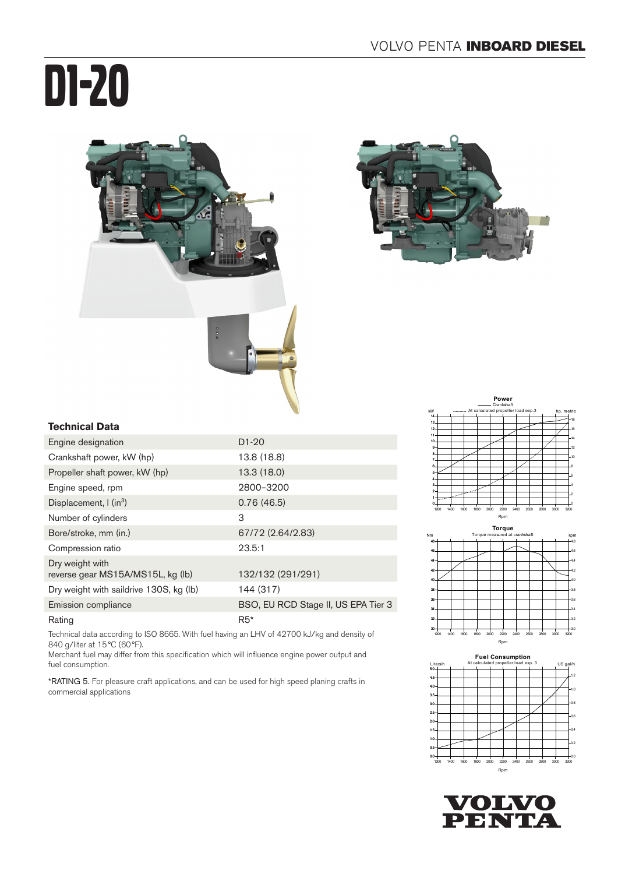# D1-20





#### **Technical Data**

| Engine designation                                   | $D1-20$                             |
|------------------------------------------------------|-------------------------------------|
| Crankshaft power, kW (hp)                            | 13.8 (18.8)                         |
| Propeller shaft power, kW (hp)                       | 13.3(18.0)                          |
| Engine speed, rpm                                    | 2800-3200                           |
| Displacement, $\int$ (in <sup>3</sup> )              | 0.76(46.5)                          |
| Number of cylinders                                  | 3                                   |
| Bore/stroke, mm (in.)                                | 67/72 (2.64/2.83)                   |
| Compression ratio                                    | 23.5:1                              |
| Dry weight with<br>reverse gear MS15A/MS15L, kg (lb) | 132/132 (291/291)                   |
| Dry weight with saildrive 130S, kg (lb)              | 144 (317)                           |
| Emission compliance                                  | BSO, EU RCD Stage II, US EPA Tier 3 |
| Rating                                               | $R5*$                               |

Technical data according to ISO 8665. With fuel having an LHV of 42700 kJ/kg and density of 840 g/liter at 15°C (60°F).

Merchant fuel may differ from this specification which will influence engine power output and fuel consumption.

\*RATING 5. For pleasure craft applications, and can be used for high speed planing crafts in commercial applications